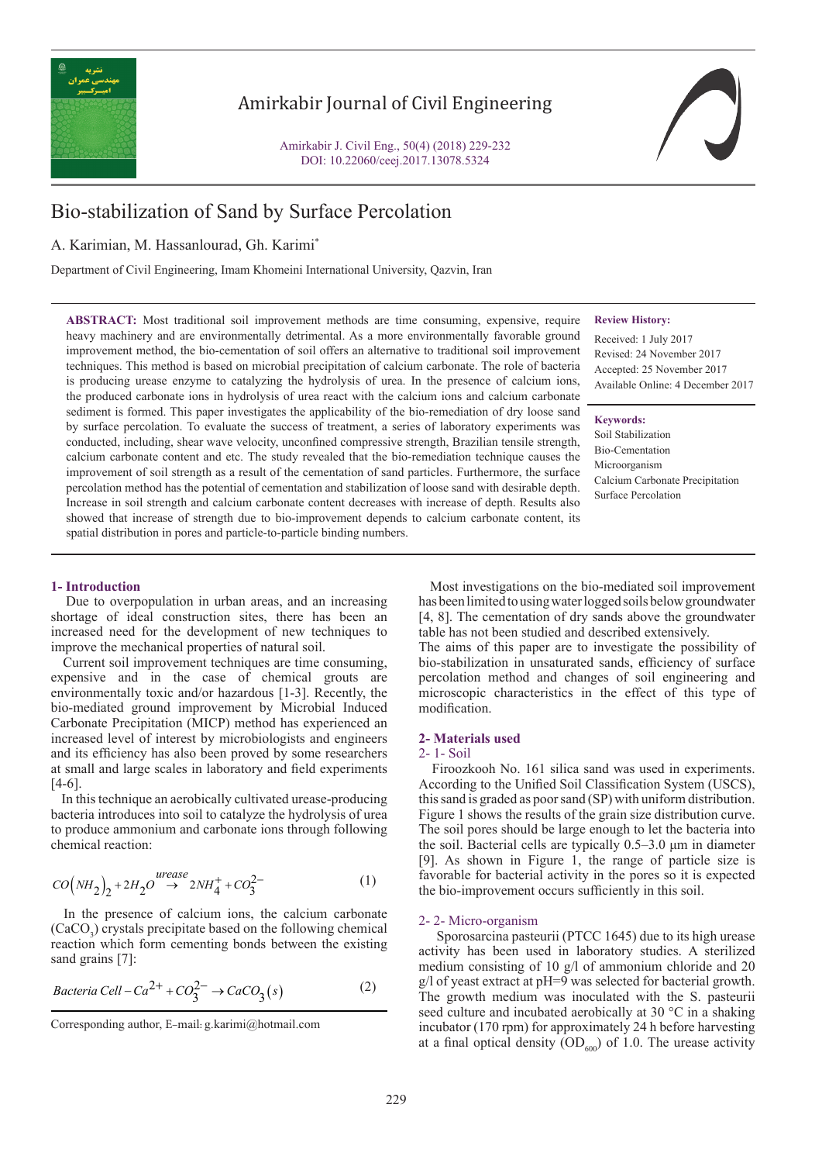

# Amirkabir Journal of Civil Engineering

Amirkabir J. Civil Eng., 50(4) (2018) 229-232 DOI: 10.22060/ceej.2017.13078.5324

# Bio-stabilization of Sand by Surface Percolation

# A. Karimian, M. Hassanlourad, Gh. Karimi\*

Department of Civil Engineering, Imam Khomeini International University, Qazvin, Iran

#### **Review History:**

Received: 1 July 2017 Revised: 24 November 2017 Accepted: 25 November 2017 Available Online: 4 December 2017

## **Keywords:**

Soil Stabilization Bio-Cementation Microorganism Calcium Carbonate Precipitation Surface Percolation

heavy machinery and are environmentally detrimental. As a more environmentally favorable ground improvement method, the bio-cementation of soil offers an alternative to traditional soil improvement techniques. This method is based on microbial precipitation of calcium carbonate. The role of bacteria is producing urease enzyme to catalyzing the hydrolysis of urea. In the presence of calcium ions, the produced carbonate ions in hydrolysis of urea react with the calcium ions and calcium carbonate sediment is formed. This paper investigates the applicability of the bio-remediation of dry loose sand by surface percolation. To evaluate the success of treatment, a series of laboratory experiments was conducted, including, shear wave velocity, unconfined compressive strength, Brazilian tensile strength, calcium carbonate content and etc. The study revealed that the bio-remediation technique causes the improvement of soil strength as a result of the cementation of sand particles. Furthermore, the surface percolation method has the potential of cementation and stabilization of loose sand with desirable depth. Increase in soil strength and calcium carbonate content decreases with increase of depth. Results also showed that increase of strength due to bio-improvement depends to calcium carbonate content, its spatial distribution in pores and particle-to-particle binding numbers.

**ABSTRACT:** Most traditional soil improvement methods are time consuming, expensive, require

## **1- Introduction**

 Due to overpopulation in urban areas, and an increasing shortage of ideal construction sites, there has been an increased need for the development of new techniques to improve the mechanical properties of natural soil.

 Current soil improvement techniques are time consuming, expensive and in the case of chemical grouts are environmentally toxic and/or hazardous [1-3]. Recently, the bio-mediated ground improvement by Microbial Induced Carbonate Precipitation (MICP) method has experienced an increased level of interest by microbiologists and engineers and its efficiency has also been proved by some researchers at small and large scales in laboratory and field experiments [4-6].

 In this technique an aerobically cultivated urease-producing bacteria introduces into soil to catalyze the hydrolysis of urea to produce ammonium and carbonate ions through following chemical reaction:

$$
CO\left(NH_2\right)_2 + 2H_2O \stackrel{wease}{\rightarrow} 2NH_4^+ + CO_3^{2-} \tag{1}
$$

 In the presence of calcium ions, the calcium carbonate  $(CaCO<sub>3</sub>)$  crystals precipitate based on the following chemical reaction which form cementing bonds between the existing sand grains [7]:

$$
Bacteria\,Cell - Ca^{2+} + CO_3^{2-} \rightarrow CaCO_3(s)
$$
 (2)

 Most investigations on the bio-mediated soil improvement has been limited to using water logged soils below groundwater [4, 8]. The cementation of dry sands above the groundwater table has not been studied and described extensively.

The aims of this paper are to investigate the possibility of bio-stabilization in unsaturated sands, efficiency of surface percolation method and changes of soil engineering and microscopic characteristics in the effect of this type of modification.

#### **2- Materials used**

## 2- 1- Soil

 Firoozkooh No. 161 silica sand was used in experiments. According to the Unified Soil Classification System (USCS), this sand is graded as poor sand (SP) with uniform distribution. Figure 1 shows the results of the grain size distribution curve. The soil pores should be large enough to let the bacteria into the soil. Bacterial cells are typically 0.5–3.0 μm in diameter [9]. As shown in Figure 1, the range of particle size is favorable for bacterial activity in the pores so it is expected the bio-improvement occurs sufficiently in this soil.

#### 2- 2- Micro-organism

 Sporosarcina pasteurii (PTCC 1645) due to its high urease activity has been used in laboratory studies. A sterilized medium consisting of 10 g/l of ammonium chloride and 20 g/l of yeast extract at pH=9 was selected for bacterial growth. The growth medium was inoculated with the S. pasteurii seed culture and incubated aerobically at 30 °C in a shaking incubator (170 rpm) for approximately 24 h before harvesting at a final optical density  $OD<sub>600</sub>$  of 1.0. The urease activity

Corresponding author, E-mail: g.karimi@hotmail.com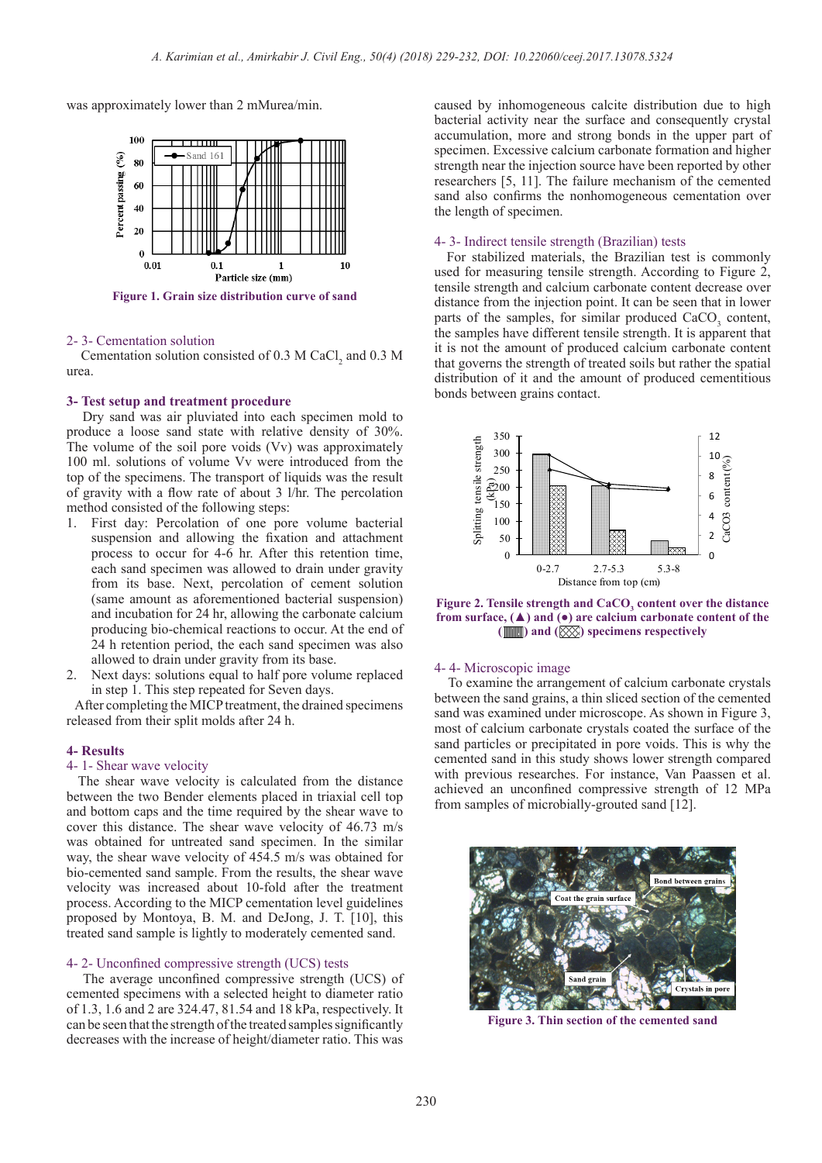was approximately lower than 2 mMurea/min.



**Figure 1. Grain size distribution curve of sand**

#### 2- 3- Cementation solution

Cementation solution consisted of 0.3 M CaCl<sub>2</sub> and 0.3 M urea.

## **3- Test setup and treatment procedure**

 Dry sand was air pluviated into each specimen mold to produce a loose sand state with relative density of 30%. The volume of the soil pore voids (Vv) was approximately 100 ml. solutions of volume Vv were introduced from the top of the specimens. The transport of liquids was the result of gravity with a flow rate of about 3 l/hr. The percolation method consisted of the following steps:

- 1. First day: Percolation of one pore volume bacterial suspension and allowing the fixation and attachment process to occur for 4-6 hr. After this retention time, each sand specimen was allowed to drain under gravity from its base. Next, percolation of cement solution (same amount as aforementioned bacterial suspension) and incubation for 24 hr, allowing the carbonate calcium producing bio-chemical reactions to occur. At the end of 24 h retention period, the each sand specimen was also allowed to drain under gravity from its base.
- 2. Next days: solutions equal to half pore volume replaced in step 1. This step repeated for Seven days.

 After completing the MICP treatment, the drained specimens released from their split molds after 24 h.

#### **4- Results**

## 4- 1- Shear wave velocity

 The shear wave velocity is calculated from the distance between the two Bender elements placed in triaxial cell top and bottom caps and the time required by the shear wave to cover this distance. The shear wave velocity of 46.73 m/s was obtained for untreated sand specimen. In the similar way, the shear wave velocity of 454.5 m/s was obtained for bio-cemented sand sample. From the results, the shear wave velocity was increased about 10-fold after the treatment process. According to the MICP cementation level guidelines proposed by Montoya, B. M. and DeJong, J. T. [10], this treated sand sample is lightly to moderately cemented sand.

#### 4- 2- Unconfined compressive strength (UCS) tests

 The average unconfined compressive strength (UCS) of cemented specimens with a selected height to diameter ratio of 1.3, 1.6 and 2 are 324.47, 81.54 and 18 kPa, respectively. It can be seen that the strength of the treated samples significantly decreases with the increase of height/diameter ratio. This was

caused by inhomogeneous calcite distribution due to high bacterial activity near the surface and consequently crystal accumulation, more and strong bonds in the upper part of specimen. Excessive calcium carbonate formation and higher strength near the injection source have been reported by other researchers [5, 11]. The failure mechanism of the cemented sand also confirms the nonhomogeneous cementation over the length of specimen.

## 4- 3- Indirect tensile strength (Brazilian) tests

 For stabilized materials, the Brazilian test is commonly used for measuring tensile strength. According to Figure 2, tensile strength and calcium carbonate content decrease over distance from the injection point. It can be seen that in lower parts of the samples, for similar produced CaCO<sub>3</sub> content, the samples have different tensile strength. It is apparent that it is not the amount of produced calcium carbonate content that governs the strength of treated soils but rather the spatial distribution of it and the amount of produced cementitious bonds between grains contact.



Figure 2. Tensile strength and CaCO<sub>3</sub> content over the distance **from surface, (▲) and (●) are calcium carbonate content of the ( ) and ( ) specimens respectively**

#### 4- 4- Microscopic image

 To examine the arrangement of calcium carbonate crystals between the sand grains, a thin sliced section of the cemented sand was examined under microscope. As shown in Figure 3, most of calcium carbonate crystals coated the surface of the sand particles or precipitated in pore voids. This is why the cemented sand in this study shows lower strength compared with previous researches. For instance, Van Paassen et al. achieved an unconfined compressive strength of 12 MPa from samples of microbially-grouted sand [12].



**Figure 3. Thin section of the cemented sand**